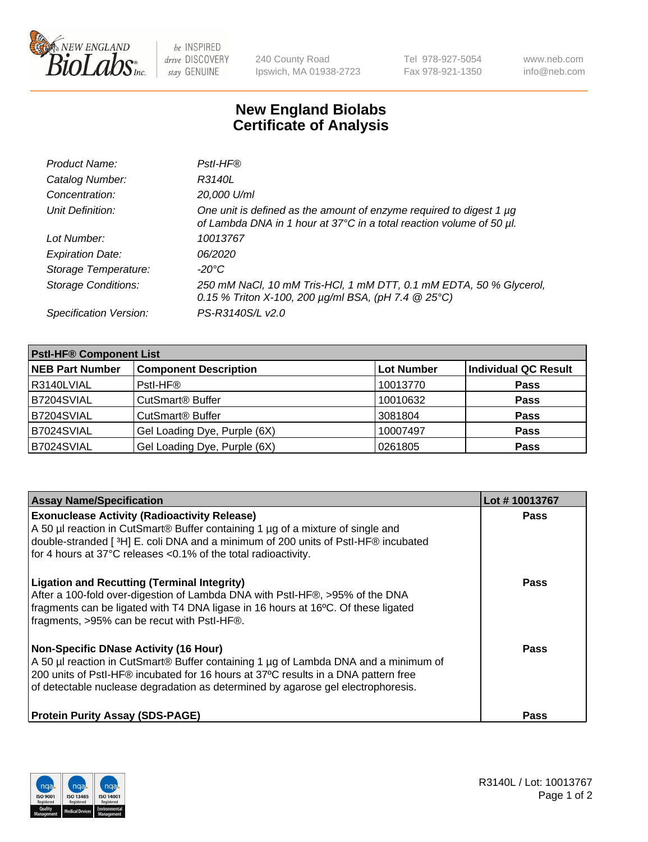

 $be$  INSPIRED drive DISCOVERY stay GENUINE

240 County Road Ipswich, MA 01938-2723 Tel 978-927-5054 Fax 978-921-1350 www.neb.com info@neb.com

## **New England Biolabs Certificate of Analysis**

| Product Name:              | Pstl-HF®                                                                                                                                             |
|----------------------------|------------------------------------------------------------------------------------------------------------------------------------------------------|
| Catalog Number:            | R3140L                                                                                                                                               |
| Concentration:             | 20,000 U/ml                                                                                                                                          |
| Unit Definition:           | One unit is defined as the amount of enzyme required to digest 1 µg<br>of Lambda DNA in 1 hour at 37°C in a total reaction volume of 50 µl.          |
| Lot Number:                | 10013767                                                                                                                                             |
| <b>Expiration Date:</b>    | 06/2020                                                                                                                                              |
| Storage Temperature:       | $-20^{\circ}$ C                                                                                                                                      |
| <b>Storage Conditions:</b> | 250 mM NaCl, 10 mM Tris-HCl, 1 mM DTT, 0.1 mM EDTA, 50 % Glycerol,<br>0.15 % Triton X-100, 200 $\mu$ g/ml BSA, (pH 7.4 $\textcircled{25}^{\circ}$ C) |
| Specification Version:     | PS-R3140S/L v2.0                                                                                                                                     |

| <b>Pstl-HF® Component List</b> |                                    |                   |                             |  |
|--------------------------------|------------------------------------|-------------------|-----------------------------|--|
| <b>NEB Part Number</b>         | <b>Component Description</b>       | <b>Lot Number</b> | <b>Individual QC Result</b> |  |
| R3140LVIAL                     | Pstl-HF®                           | 10013770          | <b>Pass</b>                 |  |
| B7204SVIAL                     | <b>CutSmart<sup>®</sup> Buffer</b> | 10010632          | <b>Pass</b>                 |  |
| B7204SVIAL                     | CutSmart <sup>®</sup> Buffer       | 3081804           | <b>Pass</b>                 |  |
| B7024SVIAL                     | Gel Loading Dye, Purple (6X)       | 10007497          | <b>Pass</b>                 |  |
| B7024SVIAL                     | Gel Loading Dye, Purple (6X)       | 0261805           | <b>Pass</b>                 |  |

| <b>Assay Name/Specification</b>                                                                                                                                                                                                                                                                                           | Lot #10013767 |
|---------------------------------------------------------------------------------------------------------------------------------------------------------------------------------------------------------------------------------------------------------------------------------------------------------------------------|---------------|
| <b>Exonuclease Activity (Radioactivity Release)</b><br>A 50 µl reaction in CutSmart® Buffer containing 1 µg of a mixture of single and<br>double-stranded [3H] E. coli DNA and a minimum of 200 units of PstI-HF® incubated<br>for 4 hours at 37°C releases <0.1% of the total radioactivity.                             | <b>Pass</b>   |
| <b>Ligation and Recutting (Terminal Integrity)</b><br>After a 100-fold over-digestion of Lambda DNA with Pstl-HF®, >95% of the DNA<br>fragments can be ligated with T4 DNA ligase in 16 hours at 16°C. Of these ligated<br>fragments, >95% can be recut with PstI-HF®.                                                    | Pass          |
| <b>Non-Specific DNase Activity (16 Hour)</b><br>A 50 µl reaction in CutSmart <sup>®</sup> Buffer containing 1 µg of Lambda DNA and a minimum of<br>200 units of Pstl-HF® incubated for 16 hours at 37°C results in a DNA pattern free<br>of detectable nuclease degradation as determined by agarose gel electrophoresis. | <b>Pass</b>   |
| <b>Protein Purity Assay (SDS-PAGE)</b>                                                                                                                                                                                                                                                                                    | Pass          |